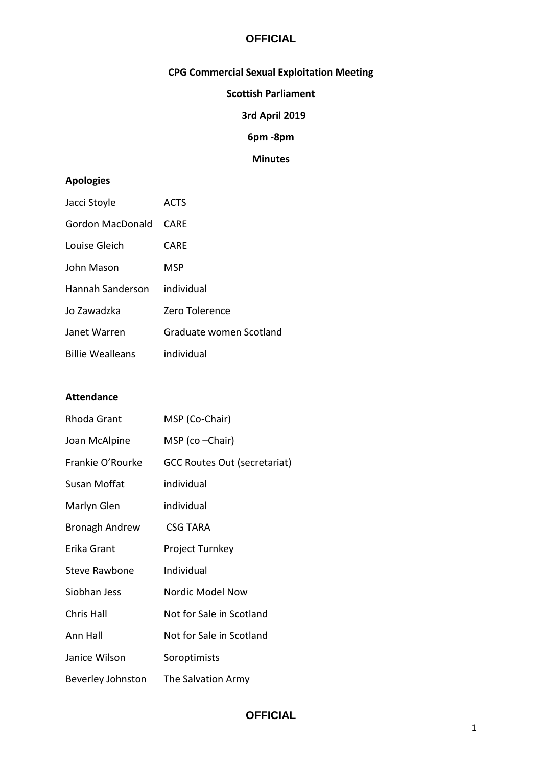# **OFFICIAL**

# **CPG Commercial Sexual Exploitation Meeting**

## **Scottish Parliament**

### **3rd April 2019**

**6pm -8pm**

# **Minutes**

## **Apologies**

| Jacci Stoyle            | <b>ACTS</b>             |
|-------------------------|-------------------------|
| Gordon MacDonald        | CARE                    |
| Louise Gleich           | CARE                    |
| John Mason              | MSP                     |
| Hannah Sanderson        | individual              |
| Jo Zawadzka             | Zero Tolerence          |
| Janet Warren            | Graduate women Scotland |
| <b>Billie Wealleans</b> | individual              |

#### **Attendance**

| Rhoda Grant           | MSP (Co-Chair)                      |
|-----------------------|-------------------------------------|
| Joan McAlpine         | MSP (co – Chair)                    |
| Frankie O'Rourke      | <b>GCC Routes Out (secretariat)</b> |
| Susan Moffat          | individual                          |
| Marlyn Glen           | individual                          |
| <b>Bronagh Andrew</b> | <b>CSG TARA</b>                     |
| Erika Grant           | <b>Project Turnkey</b>              |
| <b>Steve Rawbone</b>  | Individual                          |
| Siobhan Jess          | Nordic Model Now                    |
| Chris Hall            | Not for Sale in Scotland            |
| Ann Hall              | Not for Sale in Scotland            |
| Janice Wilson         | Soroptimists                        |
| Beverley Johnston     | The Salvation Army                  |

# **OFFICIAL**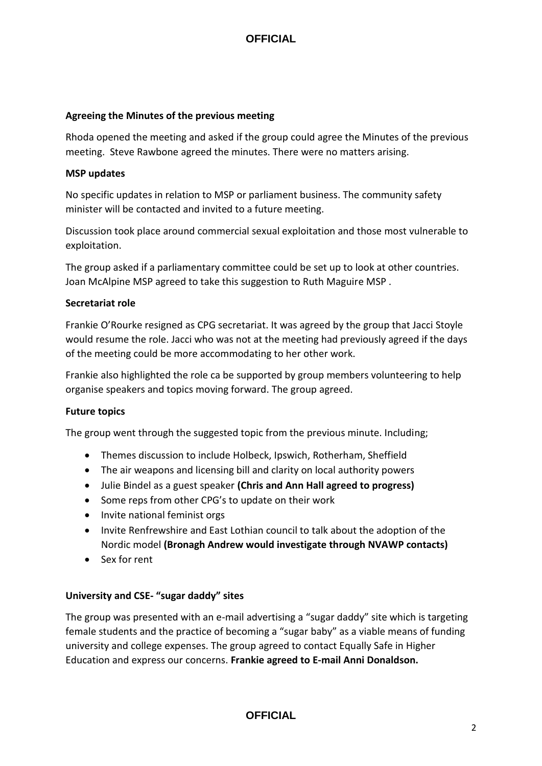# **OFFICIAL**

#### **Agreeing the Minutes of the previous meeting**

Rhoda opened the meeting and asked if the group could agree the Minutes of the previous meeting. Steve Rawbone agreed the minutes. There were no matters arising.

#### **MSP updates**

No specific updates in relation to MSP or parliament business. The community safety minister will be contacted and invited to a future meeting.

Discussion took place around commercial sexual exploitation and those most vulnerable to exploitation.

The group asked if a parliamentary committee could be set up to look at other countries. Joan McAlpine MSP agreed to take this suggestion to Ruth Maguire MSP .

### **Secretariat role**

Frankie O'Rourke resigned as CPG secretariat. It was agreed by the group that Jacci Stoyle would resume the role. Jacci who was not at the meeting had previously agreed if the days of the meeting could be more accommodating to her other work.

Frankie also highlighted the role ca be supported by group members volunteering to help organise speakers and topics moving forward. The group agreed.

## **Future topics**

The group went through the suggested topic from the previous minute. Including;

- Themes discussion to include Holbeck, Ipswich, Rotherham, Sheffield
- The air weapons and licensing bill and clarity on local authority powers
- Julie Bindel as a guest speaker **(Chris and Ann Hall agreed to progress)**
- Some reps from other CPG's to update on their work
- Invite national feminist orgs
- Invite Renfrewshire and East Lothian council to talk about the adoption of the Nordic model **(Bronagh Andrew would investigate through NVAWP contacts)**
- Sex for rent

#### **University and CSE- "sugar daddy" sites**

The group was presented with an e-mail advertising a "sugar daddy" site which is targeting female students and the practice of becoming a "sugar baby" as a viable means of funding university and college expenses. The group agreed to contact Equally Safe in Higher Education and express our concerns. **Frankie agreed to E-mail Anni Donaldson.**

## **OFFICIAL**